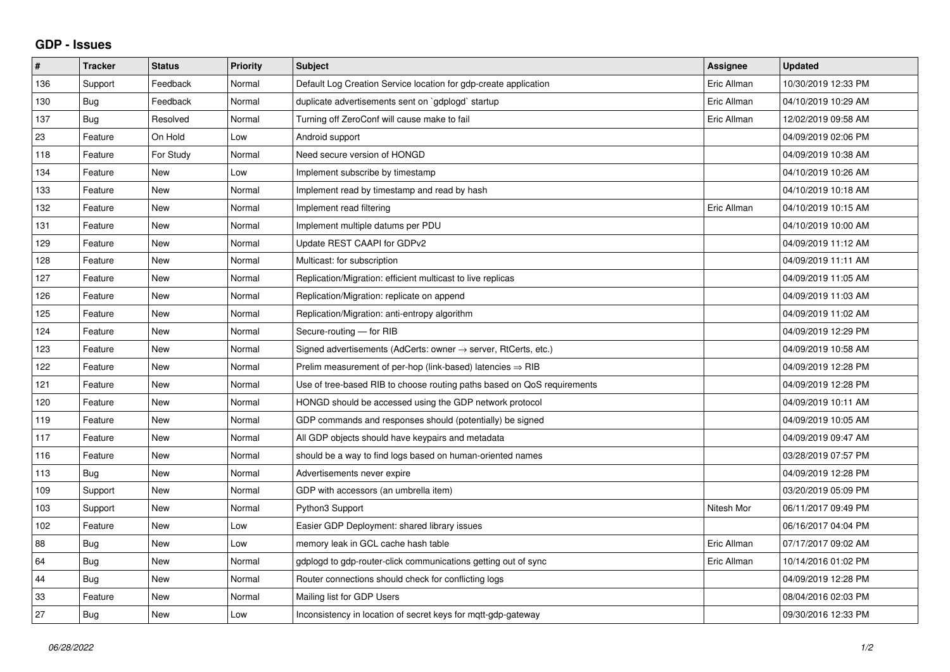## **GDP - Issues**

| $\pmb{\#}$ | <b>Tracker</b> | <b>Status</b> | <b>Priority</b> | <b>Subject</b>                                                          | Assignee    | <b>Updated</b>      |
|------------|----------------|---------------|-----------------|-------------------------------------------------------------------------|-------------|---------------------|
| 136        | Support        | Feedback      | Normal          | Default Log Creation Service location for gdp-create application        | Eric Allman | 10/30/2019 12:33 PM |
| 130        | Bug            | Feedback      | Normal          | duplicate advertisements sent on `gdplogd` startup                      | Eric Allman | 04/10/2019 10:29 AM |
| 137        | Bug            | Resolved      | Normal          | Turning off ZeroConf will cause make to fail                            | Eric Allman | 12/02/2019 09:58 AM |
| 23         | Feature        | On Hold       | Low             | Android support                                                         |             | 04/09/2019 02:06 PM |
| 118        | Feature        | For Study     | Normal          | Need secure version of HONGD                                            |             | 04/09/2019 10:38 AM |
| 134        | Feature        | <b>New</b>    | Low             | Implement subscribe by timestamp                                        |             | 04/10/2019 10:26 AM |
| 133        | Feature        | <b>New</b>    | Normal          | Implement read by timestamp and read by hash                            |             | 04/10/2019 10:18 AM |
| 132        | Feature        | <b>New</b>    | Normal          | Implement read filtering                                                | Eric Allman | 04/10/2019 10:15 AM |
| 131        | Feature        | <b>New</b>    | Normal          | Implement multiple datums per PDU                                       |             | 04/10/2019 10:00 AM |
| 129        | Feature        | <b>New</b>    | Normal          | Update REST CAAPI for GDPv2                                             |             | 04/09/2019 11:12 AM |
| 128        | Feature        | <b>New</b>    | Normal          | Multicast: for subscription                                             |             | 04/09/2019 11:11 AM |
| 127        | Feature        | <b>New</b>    | Normal          | Replication/Migration: efficient multicast to live replicas             |             | 04/09/2019 11:05 AM |
| 126        | Feature        | <b>New</b>    | Normal          | Replication/Migration: replicate on append                              |             | 04/09/2019 11:03 AM |
| 125        | Feature        | <b>New</b>    | Normal          | Replication/Migration: anti-entropy algorithm                           |             | 04/09/2019 11:02 AM |
| 124        | Feature        | <b>New</b>    | Normal          | Secure-routing - for RIB                                                |             | 04/09/2019 12:29 PM |
| 123        | Feature        | <b>New</b>    | Normal          | Signed advertisements (AdCerts: owner → server, RtCerts, etc.)          |             | 04/09/2019 10:58 AM |
| 122        | Feature        | <b>New</b>    | Normal          | Prelim measurement of per-hop (link-based) latencies $\Rightarrow$ RIB  |             | 04/09/2019 12:28 PM |
| 121        | Feature        | New           | Normal          | Use of tree-based RIB to choose routing paths based on QoS requirements |             | 04/09/2019 12:28 PM |
| 120        | Feature        | <b>New</b>    | Normal          | HONGD should be accessed using the GDP network protocol                 |             | 04/09/2019 10:11 AM |
| 119        | Feature        | <b>New</b>    | Normal          | GDP commands and responses should (potentially) be signed               |             | 04/09/2019 10:05 AM |
| 117        | Feature        | New           | Normal          | All GDP objects should have keypairs and metadata                       |             | 04/09/2019 09:47 AM |
| 116        | Feature        | <b>New</b>    | Normal          | should be a way to find logs based on human-oriented names              |             | 03/28/2019 07:57 PM |
| 113        | Bug            | <b>New</b>    | Normal          | Advertisements never expire                                             |             | 04/09/2019 12:28 PM |
| 109        | Support        | <b>New</b>    | Normal          | GDP with accessors (an umbrella item)                                   |             | 03/20/2019 05:09 PM |
| 103        | Support        | <b>New</b>    | Normal          | Python3 Support                                                         | Nitesh Mor  | 06/11/2017 09:49 PM |
| 102        | Feature        | <b>New</b>    | Low             | Easier GDP Deployment: shared library issues                            |             | 06/16/2017 04:04 PM |
| 88         | <b>Bug</b>     | <b>New</b>    | Low             | memory leak in GCL cache hash table                                     | Eric Allman | 07/17/2017 09:02 AM |
| 64         | Bug            | <b>New</b>    | Normal          | gdplogd to gdp-router-click communications getting out of sync          | Eric Allman | 10/14/2016 01:02 PM |
| 44         | <b>Bug</b>     | <b>New</b>    | Normal          | Router connections should check for conflicting logs                    |             | 04/09/2019 12:28 PM |
| 33         | Feature        | New           | Normal          | Mailing list for GDP Users                                              |             | 08/04/2016 02:03 PM |
| 27         | Bug            | New           | Low             | Inconsistency in location of secret keys for mgtt-gdp-gateway           |             | 09/30/2016 12:33 PM |